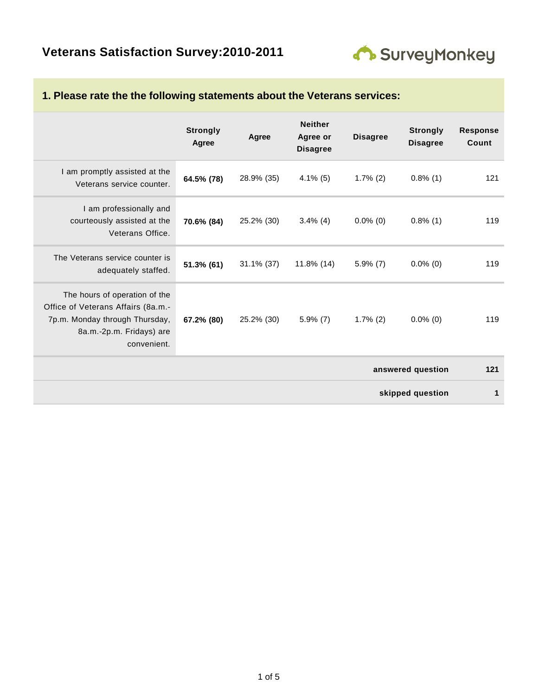

|                                                                                                                                                  | <b>Strongly</b><br>Agree | Agree         | <b>Neither</b><br>Agree or<br><b>Disagree</b> | <b>Disagree</b> | <b>Strongly</b><br><b>Disagree</b> | <b>Response</b><br>Count |
|--------------------------------------------------------------------------------------------------------------------------------------------------|--------------------------|---------------|-----------------------------------------------|-----------------|------------------------------------|--------------------------|
| I am promptly assisted at the<br>Veterans service counter.                                                                                       | 64.5% (78)               | 28.9% (35)    | $4.1\%$ (5)                                   | $1.7\%$ (2)     | $0.8\%$ (1)                        | 121                      |
| I am professionally and<br>courteously assisted at the<br>Veterans Office.                                                                       | 70.6% (84)               | 25.2% (30)    | $3.4\%$ (4)                                   | $0.0\%$ (0)     | $0.8\%$ (1)                        | 119                      |
| The Veterans service counter is<br>adequately staffed.                                                                                           | 51.3% (61)               | $31.1\%$ (37) | $11.8\%$ (14)                                 | $5.9\%$ (7)     | $0.0\%$ (0)                        | 119                      |
| The hours of operation of the<br>Office of Veterans Affairs (8a.m.-<br>7p.m. Monday through Thursday,<br>8a.m.-2p.m. Fridays) are<br>convenient. | 67.2% (80)               | 25.2% (30)    | $5.9\%$ (7)                                   | $1.7\%$ (2)     | $0.0\%$ (0)                        | 119                      |
|                                                                                                                                                  |                          |               |                                               |                 | answered question                  | 121                      |
|                                                                                                                                                  |                          |               |                                               |                 | skipped question                   | 1                        |

#### **1. Please rate the the following statements about the Veterans services:**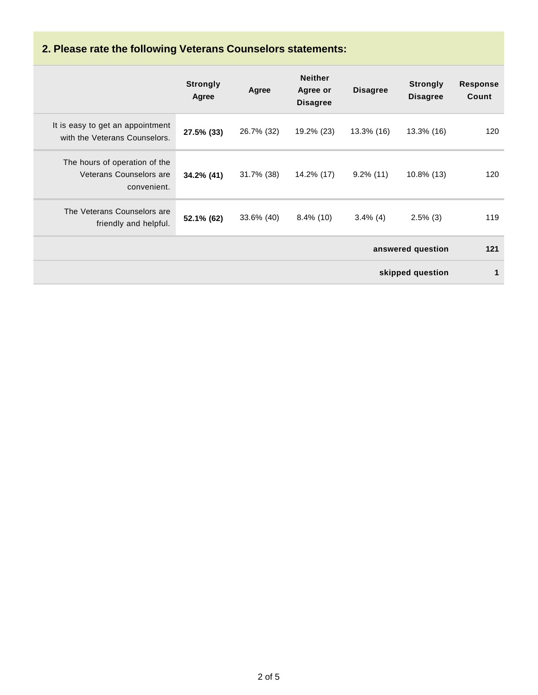# **2. Please rate the following Veterans Counselors statements:**

|                                                                         | <b>Strongly</b><br>Agree | Agree      | <b>Neither</b><br>Agree or<br><b>Disagree</b> | <b>Disagree</b> | <b>Strongly</b><br><b>Disagree</b> | <b>Response</b><br>Count |
|-------------------------------------------------------------------------|--------------------------|------------|-----------------------------------------------|-----------------|------------------------------------|--------------------------|
| It is easy to get an appointment<br>with the Veterans Counselors.       | 27.5% (33)               | 26.7% (32) | 19.2% (23)                                    | 13.3% (16)      | 13.3% (16)                         | 120                      |
| The hours of operation of the<br>Veterans Counselors are<br>convenient. | 34.2% (41)               | 31.7% (38) | 14.2% (17)                                    | $9.2\%$ (11)    | 10.8% (13)                         | 120                      |
| The Veterans Counselors are<br>friendly and helpful.                    | 52.1% (62)               | 33.6% (40) | $8.4\%$ (10)                                  | $3.4\%$ (4)     | $2.5\%$ (3)                        | 119                      |
|                                                                         | answered question        |            |                                               |                 |                                    | 121                      |
|                                                                         |                          |            |                                               |                 | skipped question                   | $\mathbf 1$              |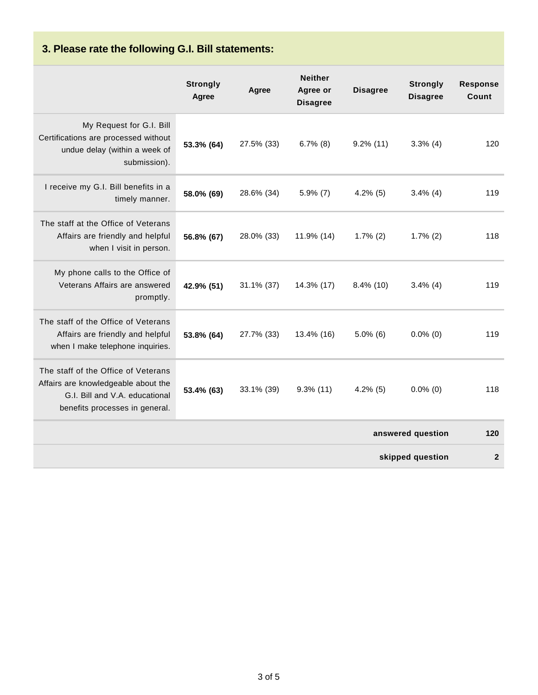# **3. Please rate the following G.I. Bill statements:**

|                                                                                                                                                | <b>Strongly</b><br>Agree | Agree         | <b>Neither</b><br>Agree or<br><b>Disagree</b> | <b>Disagree</b>   | <b>Strongly</b><br><b>Disagree</b> | <b>Response</b><br>Count |
|------------------------------------------------------------------------------------------------------------------------------------------------|--------------------------|---------------|-----------------------------------------------|-------------------|------------------------------------|--------------------------|
| My Request for G.I. Bill<br>Certifications are processed without<br>undue delay (within a week of<br>submission).                              | 53.3% (64)               | 27.5% (33)    | $6.7\%$ (8)                                   | $9.2\%$ (11)      | $3.3\%$ (4)                        | 120                      |
| I receive my G.I. Bill benefits in a<br>timely manner.                                                                                         | 58.0% (69)               | 28.6% (34)    | $5.9\%$ (7)                                   | $4.2\%$ (5)       | $3.4\%$ (4)                        | 119                      |
| The staff at the Office of Veterans<br>Affairs are friendly and helpful<br>when I visit in person.                                             | 56.8% (67)               | 28.0% (33)    | 11.9% (14)                                    | $1.7\%$ (2)       | $1.7\%$ (2)                        | 118                      |
| My phone calls to the Office of<br>Veterans Affairs are answered<br>promptly.                                                                  | 42.9% (51)               | $31.1\%$ (37) | 14.3% (17)                                    | $8.4\%$ (10)      | $3.4\%$ (4)                        | 119                      |
| The staff of the Office of Veterans<br>Affairs are friendly and helpful<br>when I make telephone inquiries.                                    | 53.8% (64)               | 27.7% (33)    | 13.4% (16)                                    | $5.0\%$ (6)       | $0.0\%$ (0)                        | 119                      |
| The staff of the Office of Veterans<br>Affairs are knowledgeable about the<br>G.I. Bill and V.A. educational<br>benefits processes in general. | 53.4% (63)               | 33.1% (39)    | $9.3\%$ (11)                                  | $4.2\%$ (5)       | $0.0\%$ (0)                        | 118                      |
|                                                                                                                                                |                          |               |                                               | answered question | 120                                |                          |
|                                                                                                                                                |                          |               |                                               |                   | skipped question                   | $\mathbf{2}$             |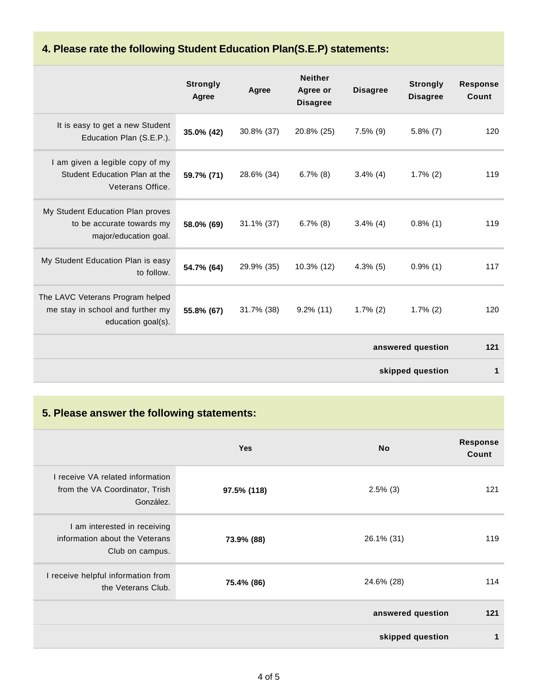### **4. Please rate the following Student Education Plan(S.E.P) statements:**

|                                                                                            | <b>Strongly</b><br>Agree | Agree         | <b>Neither</b><br>Agree or<br><b>Disagree</b> | <b>Disagree</b> | <b>Strongly</b><br><b>Disagree</b> | <b>Response</b><br>Count |
|--------------------------------------------------------------------------------------------|--------------------------|---------------|-----------------------------------------------|-----------------|------------------------------------|--------------------------|
| It is easy to get a new Student<br>Education Plan (S.E.P.).                                | 35.0% (42)               | 30.8% (37)    | 20.8% (25)                                    | $7.5\%$ (9)     | $5.8\%$ (7)                        | 120                      |
| I am given a legible copy of my<br>Student Education Plan at the<br>Veterans Office.       | 59.7% (71)               | 28.6% (34)    | $6.7\%$ (8)                                   | $3.4\%$ (4)     | $1.7\%$ (2)                        | 119                      |
| My Student Education Plan proves<br>to be accurate towards my<br>major/education goal.     | 58.0% (69)               | $31.1\%$ (37) | $6.7\%$ (8)                                   | $3.4\%$ (4)     | $0.8\%$ (1)                        | 119                      |
| My Student Education Plan is easy<br>to follow.                                            | 54.7% (64)               | 29.9% (35)    | 10.3% (12)                                    | $4.3\%$ (5)     | $0.9\%$ (1)                        | 117                      |
| The LAVC Veterans Program helped<br>me stay in school and further my<br>education goal(s). | 55.8% (67)               | 31.7% (38)    | $9.2\%$ (11)                                  | $1.7\%$ (2)     | $1.7\%$ (2)                        | 120                      |
|                                                                                            |                          |               |                                               |                 | answered question                  | 121                      |
|                                                                                            |                          |               |                                               |                 | skipped question                   | 1                        |

### **5. Please answer the following statements:**

|                                                                                   | <b>Yes</b>  | <b>No</b>         | <b>Response</b><br>Count |
|-----------------------------------------------------------------------------------|-------------|-------------------|--------------------------|
| I receive VA related information<br>from the VA Coordinator, Trish<br>González.   | 97.5% (118) | $2.5\%$ (3)       | 121                      |
| I am interested in receiving<br>information about the Veterans<br>Club on campus. | 73.9% (88)  | 26.1% (31)        | 119                      |
| I receive helpful information from<br>the Veterans Club.                          | 75.4% (86)  | 24.6% (28)        | 114                      |
|                                                                                   |             | answered question | 121                      |
|                                                                                   |             | skipped question  | 1                        |